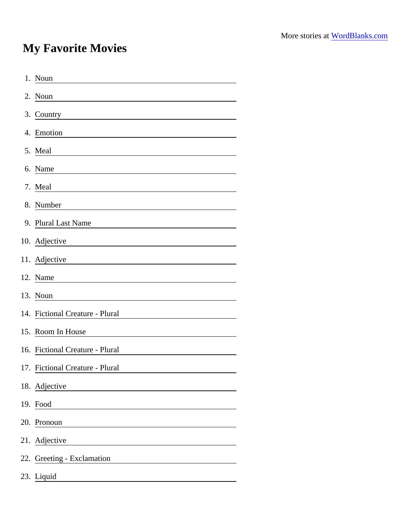## My Favorite Movies

| 1. Noun                                                                                                                            |
|------------------------------------------------------------------------------------------------------------------------------------|
| 2. Noun                                                                                                                            |
| 3. Country                                                                                                                         |
| 4. Emotion                                                                                                                         |
| 5. Meal                                                                                                                            |
| 6. Name                                                                                                                            |
| 7. Meal                                                                                                                            |
| 8. Number<br><u> 1989 - John Stein, mars and de Brandenberg and de Brandenberg and de Brandenberg and de Brandenberg and de Br</u> |
| 9. Plural Last Name                                                                                                                |
| 10. Adjective<br><u> 1989 - Andrea State Barbara, amerikan per</u>                                                                 |
| 11. Adjective                                                                                                                      |
| 12. Name                                                                                                                           |
| 13. Noun                                                                                                                           |
| 14. Fictional Creature - Plural                                                                                                    |
| 15. Room In House                                                                                                                  |
| 16. Fictional Creature - Plural                                                                                                    |
| 17. Fictional Creature - Plural                                                                                                    |
| 18. Adjective                                                                                                                      |
| 19. Food                                                                                                                           |
| 20. Pronoun                                                                                                                        |
| 21. Adjective                                                                                                                      |
| 22. Greeting - Exclamation                                                                                                         |
| 23. Liquid                                                                                                                         |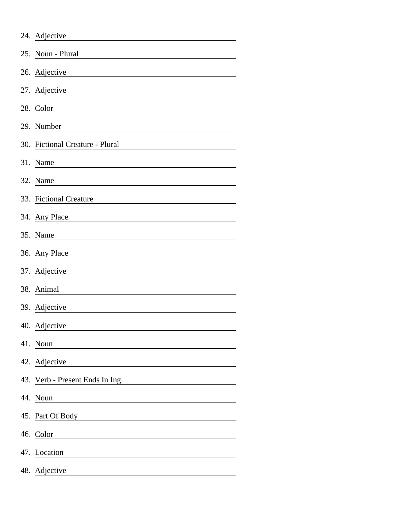|     | 24. Adjective                   |
|-----|---------------------------------|
|     | 25. Noun - Plural               |
|     | 26. Adjective                   |
|     | 27. Adjective                   |
|     | 28. Color                       |
|     | 29. Number                      |
|     | 30. Fictional Creature - Plural |
|     | 31. Name                        |
|     | 32. Name                        |
|     | 33. Fictional Creature          |
|     | 34. Any Place                   |
|     | 35. Name                        |
|     | 36. Any Place                   |
|     | 37. Adjective                   |
|     | 38. Animal                      |
|     | 39. Adjective                   |
|     | 40. Adjective                   |
|     | 41. Noun                        |
|     | 42. Adjective                   |
|     | 43. Verb - Present Ends In Ing  |
|     | 44. Noun                        |
|     | 45. Part Of Body                |
|     | 46. Color                       |
|     | 47. Location                    |
| 48. | Adjective                       |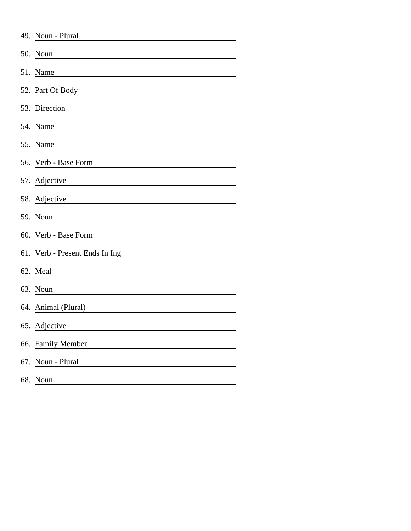| 49. Noun - Plural              |
|--------------------------------|
| 50. Noun                       |
| 51. Name                       |
| 52. Part Of Body               |
| 53. Direction                  |
| 54. Name                       |
| 55. Name                       |
| 56. Verb - Base Form           |
| 57. Adjective                  |
| 58. Adjective                  |
| 59. Noun                       |
| 60. Verb - Base Form           |
| 61. Verb - Present Ends In Ing |
| 62. Meal                       |
| 63. Noun                       |
| 64. Animal (Plural)            |
| 65. Adjective                  |
| 66. Family Member              |
| 67. Noun - Plural              |
| 68. Noun                       |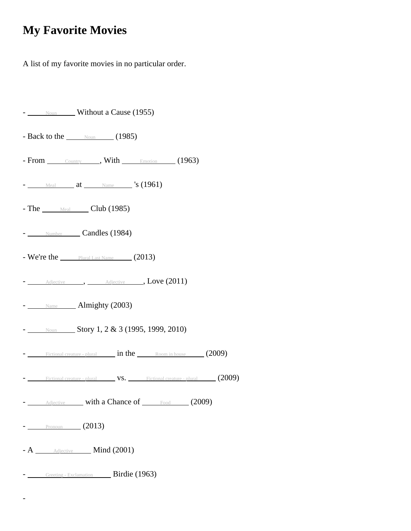## **My Favorite Movies**

A list of my favorite movies in no particular order.

| - Noun Without a Cause (1955)                                        |
|----------------------------------------------------------------------|
| - Back to the $\_\_\_\$ Noun (1985)                                  |
| - From Country , With Emotion (1963)                                 |
| $-$ Meal at Name $\sim$ 's (1961)                                    |
| - The Meal Club (1985)                                               |
| - Number Candles (1984)                                              |
| - We're the Plural Last Name $(2013)$                                |
| - Adjective , Adjective , Love (2011)                                |
| $ \frac{\text{Name}}{\text{Name}}$ Almighty (2003)                   |
| $-$ Noun Story 1, 2 & 3 (1995, 1999, 2010)                           |
| - Fictional creature - plural <b>in the</b> Room in house (2009)     |
| - Fictional creature - plural VS. Fictional creature - plural (2009) |
| Adjective with a Chance of Food (2009)                               |
| $-$ Pronoun (2013)                                                   |
| - A _____ Adjective _____ Mind (2001)                                |
| - Greeting - Exclamation Birdie (1963)                               |

-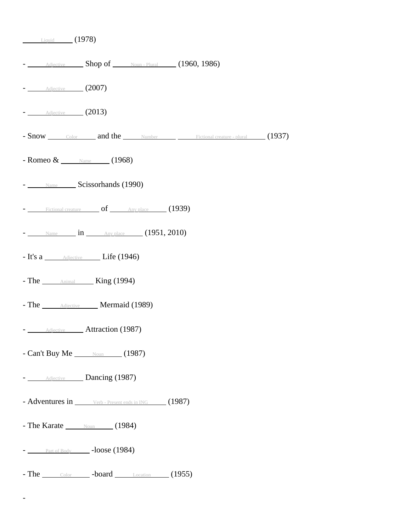| $\frac{\phantom{0}}{\phantom{0}}$ Liquid (1978)                    |
|--------------------------------------------------------------------|
| - Adjective Shop of Noun-Plural (1960, 1986)                       |
| $ \frac{\text{Adjective}}{\text{4djective}}$ (2007)                |
| $\sim$ $\frac{\text{Adjective}}{\text{4djective}}$ (2013)          |
| - Snow Color and the Number Eictional creature - plural (1937)     |
| - Romeo & <u>Name</u> (1968)                                       |
| - Name Scissorhands (1990)                                         |
| - Fictional creature of Any place (1939)                           |
| $-$ Name $\qquad \text{in}$ $\qquad \qquad$ Any place (1951, 2010) |
| - It's a <u>Adjective</u> Life (1946)                              |
| - The <b>Animal</b> King (1994)                                    |
| - The <b>Adjective Mermaid</b> (1989)                              |
| - Adjective Attraction (1987)                                      |
| - Can't Buy Me $_{\text{Noun}}$ (1987)                             |
| - Adjective Dancing (1987)                                         |
| - Adventures in Verb - Present ends in ING (1987)                  |
| - The Karate $\_\_\_\$ Noun (1984)                                 |
| $ \frac{\text{Part of Body}}{\text{Part of Body}}$ -loose (1984)   |
| - The Color - board Location (1955)                                |

-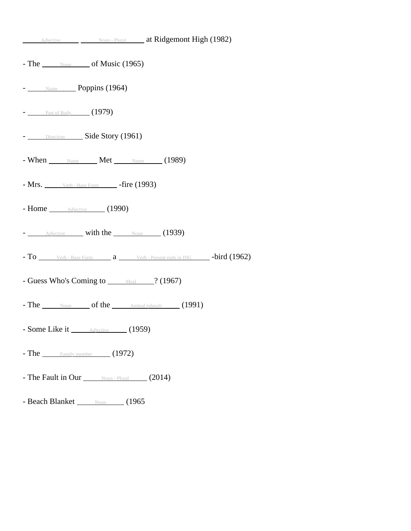| Adjective Moun - Plural at Ridgemont High (1982)                                                 |  |
|--------------------------------------------------------------------------------------------------|--|
| - The $\_\_\_\$ {Noun}\_\_\ of Music (1965)                                                      |  |
| - Name Poppins (1964)                                                                            |  |
| $-$ Part of Body (1979)                                                                          |  |
| - Direction Side Story (1961)                                                                    |  |
| - When Name Met Name (1989)                                                                      |  |
| $-Mrs.$ Verb - Base Form - fire (1993)                                                           |  |
| - Home <i><u>Adjective</u></i> (1990)                                                            |  |
| - Adjective with the Noun (1939)                                                                 |  |
| $-$ To $\_\_\_\$ Verb - Base Form $a$ $\_\_\_\$ Verb - Present ends in ING $\_\_\_$ -bird (1962) |  |
| - Guess Who's Coming to Meal 2 (1967)                                                            |  |
| - The $\_\_\_\$ Noun of the $\_\_\$ Animal (plural) (1991)                                       |  |
| - Some Like it <u>Adjective</u> (1959)                                                           |  |
| - The $\frac{1}{2}$ Family member (1972)                                                         |  |
| - The Fault in Our Noun-Plural (2014)                                                            |  |
| - Beach Blanket Noun (1965)                                                                      |  |